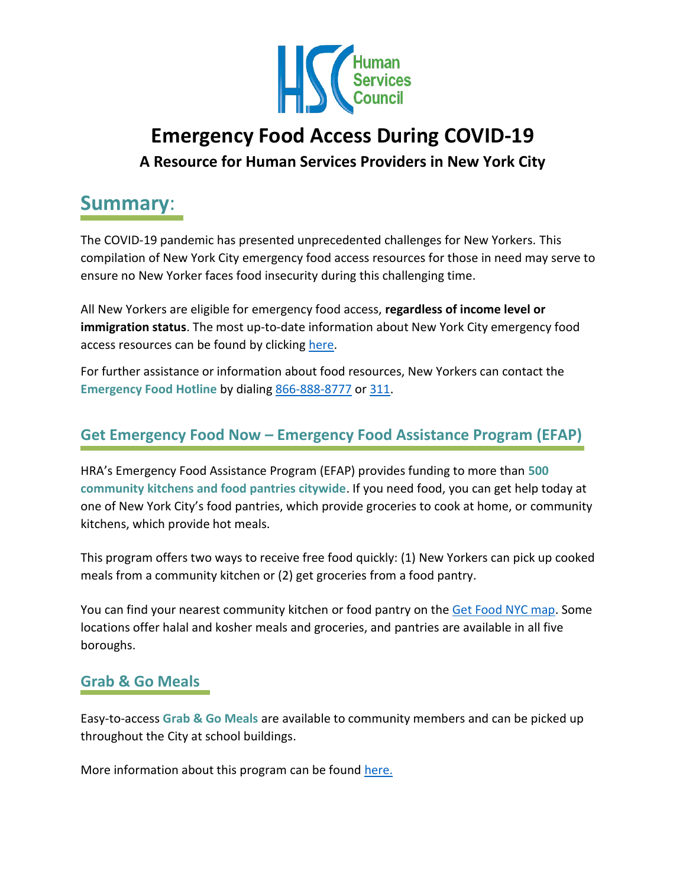

# **Emergency Food Access During COVID-19 A Resource for Human Services Providers in New York City**

## **Summary**:

The COVID-19 pandemic has presented unprecedented challenges for New Yorkers. This compilation of New York City emergency food access resources for those in need may serve to ensure no New Yorker faces food insecurity during this challenging time.

All New Yorkers are eligible for emergency food access, **regardless of income level or immigration status**. The most up-to-date information about New York City emergency food access resources can be found by clicking [here.](https://access.nyc.gov/programs/emergency-food-assistance/#how-it-works)

For further assistance or information about food resources, New Yorkers can contact the **Emergency Food Hotline** by dialing [866-888-8777](tel:866-888-8777) or [311.](tel:311)

### **Get Emergency Food Now – Emergency Food Assistance Program (EFAP)**

HRA's Emergency Food Assistance Program (EFAP) provides funding to more than **500 community kitchens and food pantries citywide**. If you need food, you can get help today at one of New York City's food pantries, which provide groceries to cook at home, or community kitchens, which provide hot meals.

This program offers two ways to receive free food quickly: (1) New Yorkers can pick up cooked meals from a community kitchen or (2) get groceries from a food pantry.

You can find your nearest community kitchen or food pantry on th[e Get Food NYC map.](https://nyc-oem.maps.arcgis.com/apps/webappviewer/index.html?id=d781ef8a46cf417dbbfaf28f3b902ac4) Some locations offer halal and kosher meals and groceries, and pantries are available in all five boroughs.

#### **Grab & Go Meals**

Easy-to-access **Grab & Go Meals** are available to community members and can be picked up throughout the City at school buildings.

More information about this program can be found [here.](https://www.schools.nyc.gov/school-life/food/community-meals)